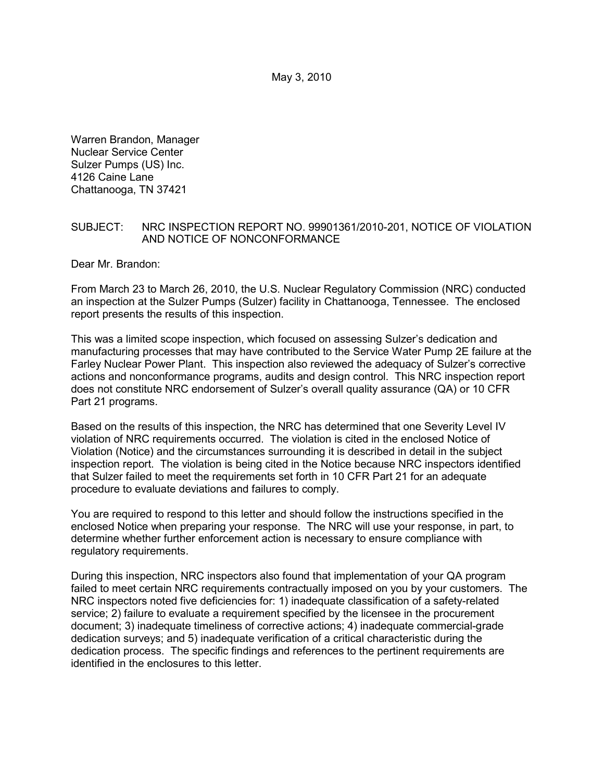Warren Brandon, Manager Nuclear Service Center Sulzer Pumps (US) Inc. 4126 Caine Lane Chattanooga, TN 37421

### SUBJECT: NRC INSPECTION REPORT NO. 99901361/2010-201, NOTICE OF VIOLATION AND NOTICE OF NONCONFORMANCE

Dear Mr. Brandon:

From March 23 to March 26, 2010, the U.S. Nuclear Regulatory Commission (NRC) conducted an inspection at the Sulzer Pumps (Sulzer) facility in Chattanooga, Tennessee. The enclosed report presents the results of this inspection.

This was a limited scope inspection, which focused on assessing Sulzer's dedication and manufacturing processes that may have contributed to the Service Water Pump 2E failure at the Farley Nuclear Power Plant. This inspection also reviewed the adequacy of Sulzer's corrective actions and nonconformance programs, audits and design control. This NRC inspection report does not constitute NRC endorsement of Sulzer's overall quality assurance (QA) or 10 CFR Part 21 programs.

Based on the results of this inspection, the NRC has determined that one Severity Level IV violation of NRC requirements occurred. The violation is cited in the enclosed Notice of Violation (Notice) and the circumstances surrounding it is described in detail in the subject inspection report. The violation is being cited in the Notice because NRC inspectors identified that Sulzer failed to meet the requirements set forth in 10 CFR Part 21 for an adequate procedure to evaluate deviations and failures to comply.

You are required to respond to this letter and should follow the instructions specified in the enclosed Notice when preparing your response. The NRC will use your response, in part, to determine whether further enforcement action is necessary to ensure compliance with regulatory requirements.

During this inspection, NRC inspectors also found that implementation of your QA program failed to meet certain NRC requirements contractually imposed on you by your customers. The NRC inspectors noted five deficiencies for: 1) inadequate classification of a safety-related service; 2) failure to evaluate a requirement specified by the licensee in the procurement document; 3) inadequate timeliness of corrective actions; 4) inadequate commercial-grade dedication surveys; and 5) inadequate verification of a critical characteristic during the dedication process. The specific findings and references to the pertinent requirements are identified in the enclosures to this letter.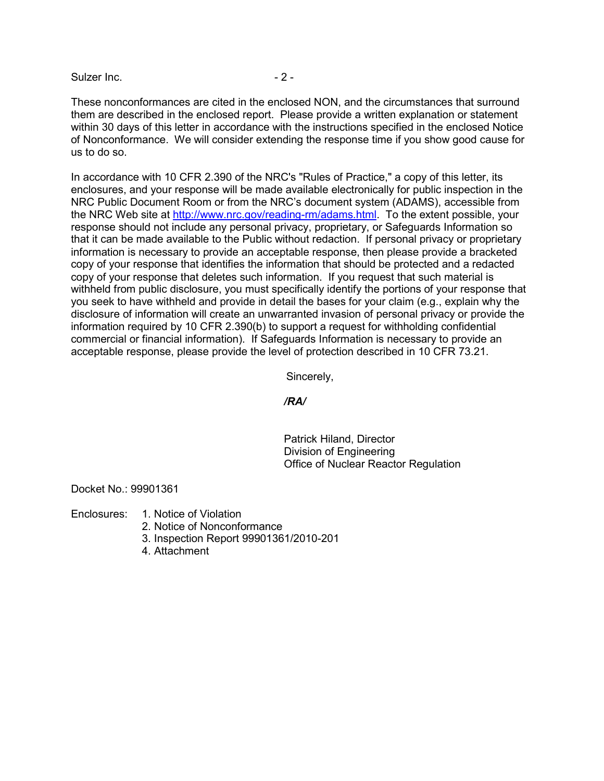Sulzer Inc. - 2 -

These nonconformances are cited in the enclosed NON, and the circumstances that surround them are described in the enclosed report. Please provide a written explanation or statement within 30 days of this letter in accordance with the instructions specified in the enclosed Notice of Nonconformance. We will consider extending the response time if you show good cause for us to do so.

In accordance with 10 CFR 2.390 of the NRC's "Rules of Practice," a copy of this letter, its enclosures, and your response will be made available electronically for public inspection in the NRC Public Document Room or from the NRC's document system (ADAMS), accessible from the NRC Web site at http://www.nrc.gov/reading-rm/adams.html. To the extent possible, your response should not include any personal privacy, proprietary, or Safeguards Information so that it can be made available to the Public without redaction. If personal privacy or proprietary information is necessary to provide an acceptable response, then please provide a bracketed copy of your response that identifies the information that should be protected and a redacted copy of your response that deletes such information. If you request that such material is withheld from public disclosure, you must specifically identify the portions of your response that you seek to have withheld and provide in detail the bases for your claim (e.g., explain why the disclosure of information will create an unwarranted invasion of personal privacy or provide the information required by 10 CFR 2.390(b) to support a request for withholding confidential commercial or financial information). If Safeguards Information is necessary to provide an acceptable response, please provide the level of protection described in 10 CFR 73.21.

Sincerely,

### */RA/*

 Patrick Hiland, Director Division of Engineering Office of Nuclear Reactor Regulation

Docket No.: 99901361

Enclosures: 1. Notice of Violation

- 2. Notice of Nonconformance
- 3. Inspection Report 99901361/2010-201
- 4. Attachment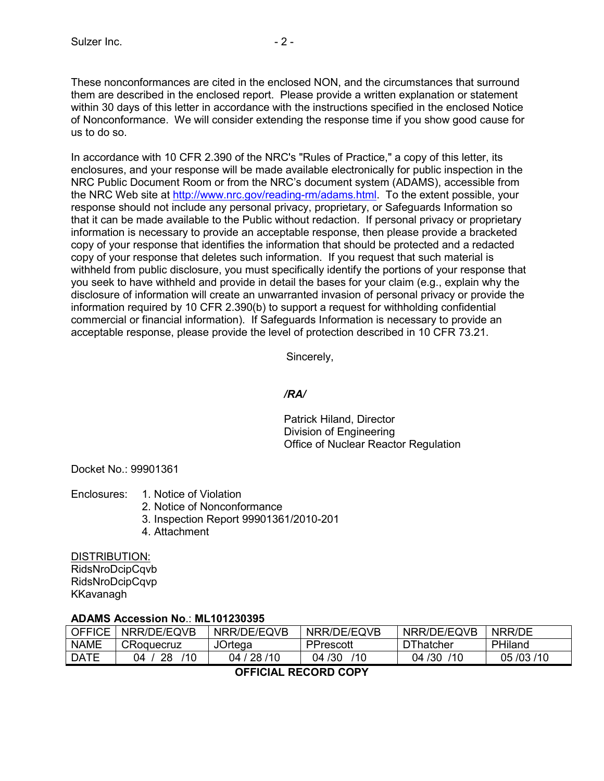These nonconformances are cited in the enclosed NON, and the circumstances that surround them are described in the enclosed report. Please provide a written explanation or statement within 30 days of this letter in accordance with the instructions specified in the enclosed Notice of Nonconformance. We will consider extending the response time if you show good cause for us to do so.

In accordance with 10 CFR 2.390 of the NRC's "Rules of Practice," a copy of this letter, its enclosures, and your response will be made available electronically for public inspection in the NRC Public Document Room or from the NRC's document system (ADAMS), accessible from the NRC Web site at http://www.nrc.gov/reading-rm/adams.html. To the extent possible, your response should not include any personal privacy, proprietary, or Safeguards Information so that it can be made available to the Public without redaction. If personal privacy or proprietary information is necessary to provide an acceptable response, then please provide a bracketed copy of your response that identifies the information that should be protected and a redacted copy of your response that deletes such information. If you request that such material is withheld from public disclosure, you must specifically identify the portions of your response that you seek to have withheld and provide in detail the bases for your claim (e.g., explain why the disclosure of information will create an unwarranted invasion of personal privacy or provide the information required by 10 CFR 2.390(b) to support a request for withholding confidential commercial or financial information). If Safeguards Information is necessary to provide an acceptable response, please provide the level of protection described in 10 CFR 73.21.

Sincerely,

# */RA/*

 Patrick Hiland, Director Division of Engineering Office of Nuclear Reactor Regulation

Docket No.: 99901361

- Enclosures: 1. Notice of Violation
	- 2. Notice of Nonconformance
	- 3. Inspection Report 99901361/2010-201
	- 4. Attachment

### DISTRIBUTION:

RidsNroDcipCqvb RidsNroDcipCqvp KKavanagh

# **ADAMS Accession No**.: **ML101230395**

| OFFICF               | NRR/DE/EQVB     | NRR/DE/EQVB    | NRR/DE/EQVB   | NRR/DE/EQVB      | NRR/DE         |  |  |  |
|----------------------|-----------------|----------------|---------------|------------------|----------------|--|--|--|
| <b>NAME</b>          | CRoquecruz      | <b>JOrtega</b> | PPrescott     | <b>DThatcher</b> | <b>PHiland</b> |  |  |  |
| <b>DATE</b>          | 28<br>110<br>N4 | 04 / 28 / 10   | 04 /30<br>110 | 110<br>04/30     | 05/03/10       |  |  |  |
| -------- ------ ---- |                 |                |               |                  |                |  |  |  |

**OFFICIAL RECORD COPY**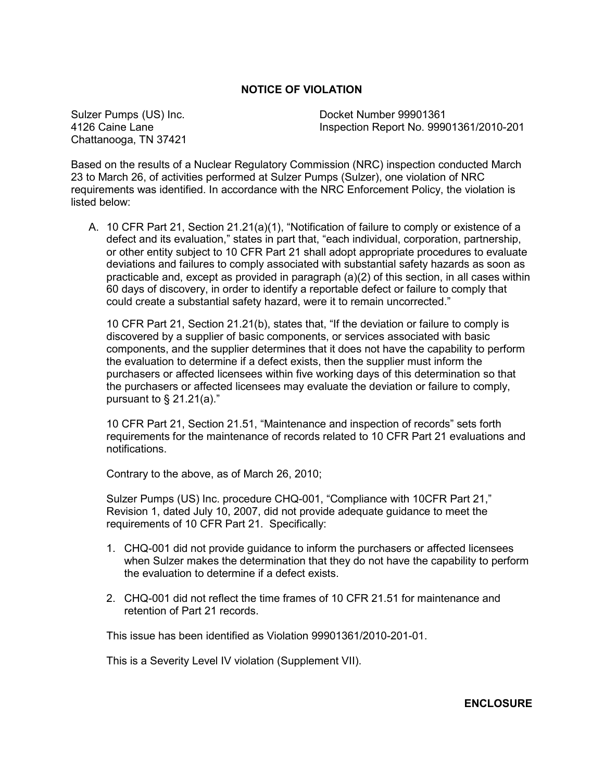# **NOTICE OF VIOLATION**

Chattanooga, TN 37421

Sulzer Pumps (US) Inc. Docket Number 99901361 4126 Caine Lane Inspection Report No. 99901361/2010-201

Based on the results of a Nuclear Regulatory Commission (NRC) inspection conducted March 23 to March 26, of activities performed at Sulzer Pumps (Sulzer), one violation of NRC requirements was identified. In accordance with the NRC Enforcement Policy, the violation is listed below:

A. 10 CFR Part 21, Section 21.21(a)(1), "Notification of failure to comply or existence of a defect and its evaluation," states in part that, "each individual, corporation, partnership, or other entity subject to 10 CFR Part 21 shall adopt appropriate procedures to evaluate deviations and failures to comply associated with substantial safety hazards as soon as practicable and, except as provided in paragraph (a)(2) of this section, in all cases within 60 days of discovery, in order to identify a reportable defect or failure to comply that could create a substantial safety hazard, were it to remain uncorrected."

10 CFR Part 21, Section 21.21(b), states that, "If the deviation or failure to comply is discovered by a supplier of basic components, or services associated with basic components, and the supplier determines that it does not have the capability to perform the evaluation to determine if a defect exists, then the supplier must inform the purchasers or affected licensees within five working days of this determination so that the purchasers or affected licensees may evaluate the deviation or failure to comply, pursuant to  $\S$  21.21(a)."

10 CFR Part 21, Section 21.51, "Maintenance and inspection of records" sets forth requirements for the maintenance of records related to 10 CFR Part 21 evaluations and notifications.

Contrary to the above, as of March 26, 2010;

Sulzer Pumps (US) Inc. procedure CHQ-001, "Compliance with 10CFR Part 21," Revision 1, dated July 10, 2007, did not provide adequate guidance to meet the requirements of 10 CFR Part 21. Specifically:

- 1. CHQ-001 did not provide guidance to inform the purchasers or affected licensees when Sulzer makes the determination that they do not have the capability to perform the evaluation to determine if a defect exists.
- 2. CHQ-001 did not reflect the time frames of 10 CFR 21.51 for maintenance and retention of Part 21 records.

This issue has been identified as Violation 99901361/2010-201-01.

This is a Severity Level IV violation (Supplement VII).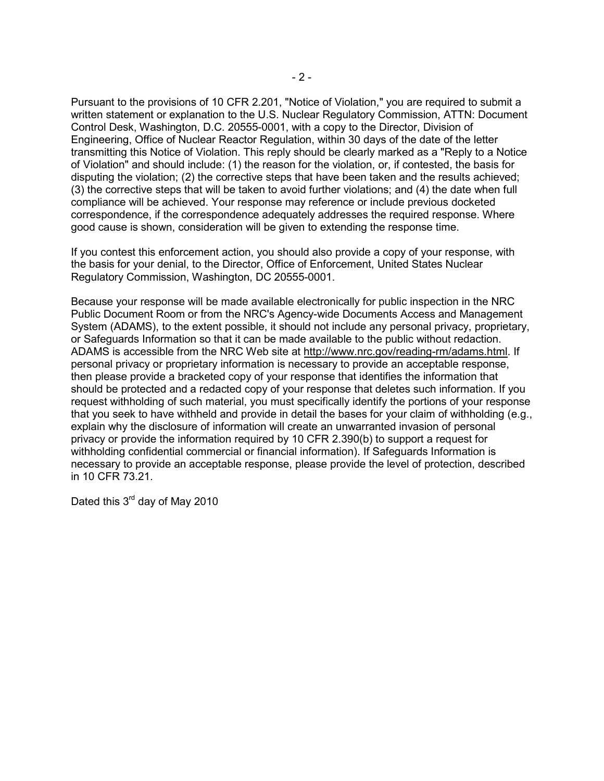Pursuant to the provisions of 10 CFR 2.201, "Notice of Violation," you are required to submit a written statement or explanation to the U.S. Nuclear Regulatory Commission, ATTN: Document Control Desk, Washington, D.C. 20555-0001, with a copy to the Director, Division of Engineering, Office of Nuclear Reactor Regulation, within 30 days of the date of the letter transmitting this Notice of Violation. This reply should be clearly marked as a "Reply to a Notice of Violation" and should include: (1) the reason for the violation, or, if contested, the basis for disputing the violation; (2) the corrective steps that have been taken and the results achieved; (3) the corrective steps that will be taken to avoid further violations; and (4) the date when full compliance will be achieved. Your response may reference or include previous docketed correspondence, if the correspondence adequately addresses the required response. Where good cause is shown, consideration will be given to extending the response time.

If you contest this enforcement action, you should also provide a copy of your response, with the basis for your denial, to the Director, Office of Enforcement, United States Nuclear Regulatory Commission, Washington, DC 20555-0001.

Because your response will be made available electronically for public inspection in the NRC Public Document Room or from the NRC's Agency-wide Documents Access and Management System (ADAMS), to the extent possible, it should not include any personal privacy, proprietary, or Safeguards Information so that it can be made available to the public without redaction. ADAMS is accessible from the NRC Web site at http://www.nrc.gov/reading-rm/adams.html. If personal privacy or proprietary information is necessary to provide an acceptable response, then please provide a bracketed copy of your response that identifies the information that should be protected and a redacted copy of your response that deletes such information. If you request withholding of such material, you must specifically identify the portions of your response that you seek to have withheld and provide in detail the bases for your claim of withholding (e.g., explain why the disclosure of information will create an unwarranted invasion of personal privacy or provide the information required by 10 CFR 2.390(b) to support a request for withholding confidential commercial or financial information). If Safeguards Information is necessary to provide an acceptable response, please provide the level of protection, described in 10 CFR 73.21.

Dated this 3<sup>rd</sup> day of May 2010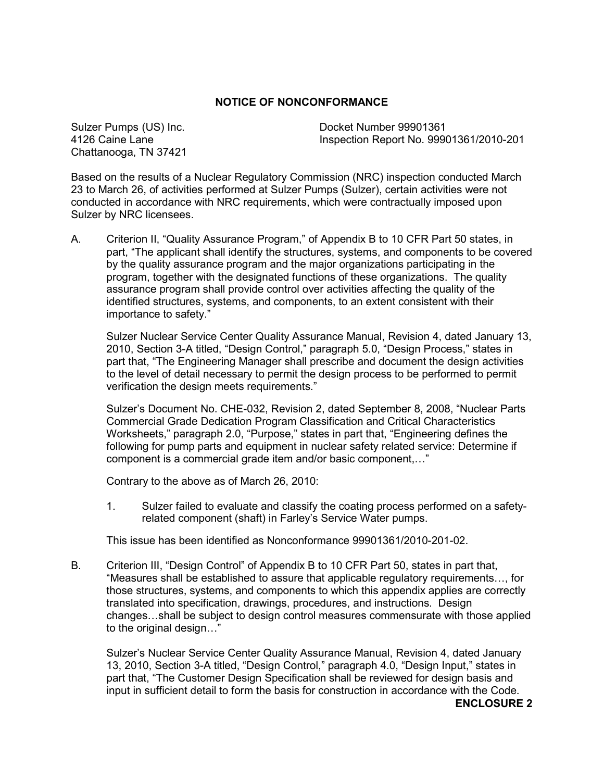# **NOTICE OF NONCONFORMANCE**

Chattanooga, TN 37421

Sulzer Pumps (US) Inc. Docket Number 99901361 4126 Caine Lane Inspection Report No. 99901361/2010-201

Based on the results of a Nuclear Regulatory Commission (NRC) inspection conducted March 23 to March 26, of activities performed at Sulzer Pumps (Sulzer), certain activities were not conducted in accordance with NRC requirements, which were contractually imposed upon Sulzer by NRC licensees.

A. Criterion II, "Quality Assurance Program," of Appendix B to 10 CFR Part 50 states, in part, "The applicant shall identify the structures, systems, and components to be covered by the quality assurance program and the major organizations participating in the program, together with the designated functions of these organizations. The quality assurance program shall provide control over activities affecting the quality of the identified structures, systems, and components, to an extent consistent with their importance to safety."

Sulzer Nuclear Service Center Quality Assurance Manual, Revision 4, dated January 13, 2010, Section 3-A titled, "Design Control," paragraph 5.0, "Design Process," states in part that, "The Engineering Manager shall prescribe and document the design activities to the level of detail necessary to permit the design process to be performed to permit verification the design meets requirements."

Sulzer's Document No. CHE-032, Revision 2, dated September 8, 2008, "Nuclear Parts Commercial Grade Dedication Program Classification and Critical Characteristics Worksheets," paragraph 2.0, "Purpose," states in part that, "Engineering defines the following for pump parts and equipment in nuclear safety related service: Determine if component is a commercial grade item and/or basic component,…"

Contrary to the above as of March 26, 2010:

1. Sulzer failed to evaluate and classify the coating process performed on a safetyrelated component (shaft) in Farley's Service Water pumps.

This issue has been identified as Nonconformance 99901361/2010-201-02.

B. Criterion III, "Design Control" of Appendix B to 10 CFR Part 50, states in part that, "Measures shall be established to assure that applicable regulatory requirements…, for those structures, systems, and components to which this appendix applies are correctly translated into specification, drawings, procedures, and instructions. Design changes…shall be subject to design control measures commensurate with those applied to the original design…"

Sulzer's Nuclear Service Center Quality Assurance Manual, Revision 4, dated January 13, 2010, Section 3-A titled, "Design Control," paragraph 4.0, "Design Input," states in part that, "The Customer Design Specification shall be reviewed for design basis and input in sufficient detail to form the basis for construction in accordance with the Code.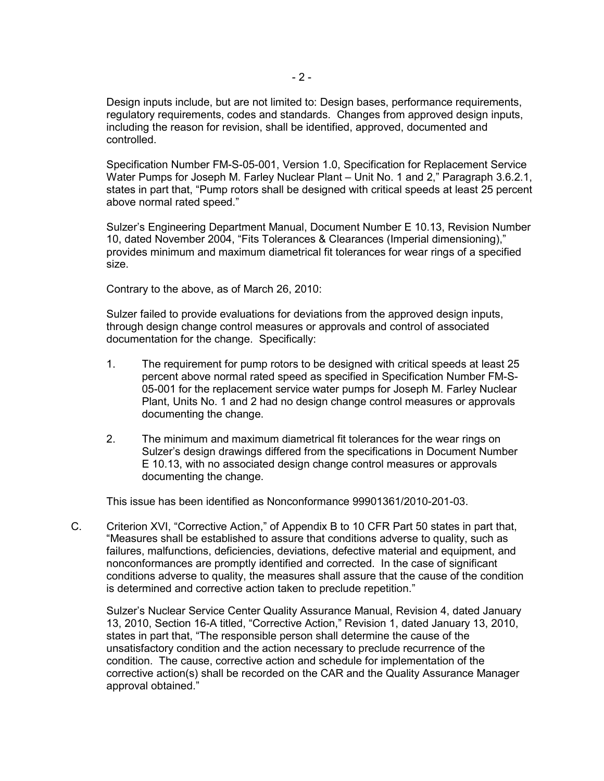Design inputs include, but are not limited to: Design bases, performance requirements, regulatory requirements, codes and standards. Changes from approved design inputs, including the reason for revision, shall be identified, approved, documented and controlled.

Specification Number FM-S-05-001, Version 1.0, Specification for Replacement Service Water Pumps for Joseph M. Farley Nuclear Plant – Unit No. 1 and 2," Paragraph 3.6.2.1, states in part that, "Pump rotors shall be designed with critical speeds at least 25 percent above normal rated speed."

Sulzer's Engineering Department Manual, Document Number E 10.13, Revision Number 10, dated November 2004, "Fits Tolerances & Clearances (Imperial dimensioning)," provides minimum and maximum diametrical fit tolerances for wear rings of a specified size.

Contrary to the above, as of March 26, 2010:

Sulzer failed to provide evaluations for deviations from the approved design inputs, through design change control measures or approvals and control of associated documentation for the change. Specifically:

- 1. The requirement for pump rotors to be designed with critical speeds at least 25 percent above normal rated speed as specified in Specification Number FM-S-05-001 for the replacement service water pumps for Joseph M. Farley Nuclear Plant, Units No. 1 and 2 had no design change control measures or approvals documenting the change.
- 2. The minimum and maximum diametrical fit tolerances for the wear rings on Sulzer's design drawings differed from the specifications in Document Number E 10.13, with no associated design change control measures or approvals documenting the change.

This issue has been identified as Nonconformance 99901361/2010-201-03.

C. Criterion XVI, "Corrective Action," of Appendix B to 10 CFR Part 50 states in part that, "Measures shall be established to assure that conditions adverse to quality, such as failures, malfunctions, deficiencies, deviations, defective material and equipment, and nonconformances are promptly identified and corrected. In the case of significant conditions adverse to quality, the measures shall assure that the cause of the condition is determined and corrective action taken to preclude repetition."

Sulzer's Nuclear Service Center Quality Assurance Manual, Revision 4, dated January 13, 2010, Section 16-A titled, "Corrective Action," Revision 1, dated January 13, 2010, states in part that, "The responsible person shall determine the cause of the unsatisfactory condition and the action necessary to preclude recurrence of the condition. The cause, corrective action and schedule for implementation of the corrective action(s) shall be recorded on the CAR and the Quality Assurance Manager approval obtained."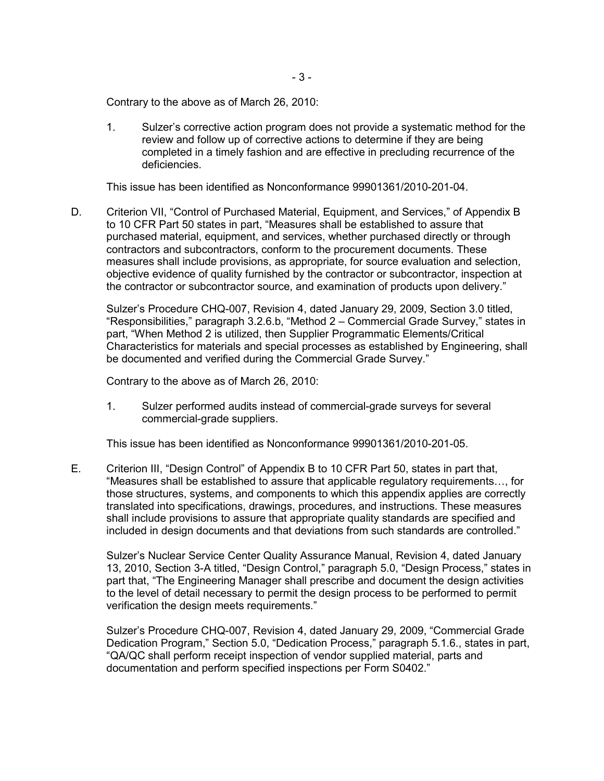Contrary to the above as of March 26, 2010:

1. Sulzer's corrective action program does not provide a systematic method for the review and follow up of corrective actions to determine if they are being completed in a timely fashion and are effective in precluding recurrence of the deficiencies.

This issue has been identified as Nonconformance 99901361/2010-201-04.

D. Criterion VII, "Control of Purchased Material, Equipment, and Services," of Appendix B to 10 CFR Part 50 states in part, "Measures shall be established to assure that purchased material, equipment, and services, whether purchased directly or through contractors and subcontractors, conform to the procurement documents. These measures shall include provisions, as appropriate, for source evaluation and selection, objective evidence of quality furnished by the contractor or subcontractor, inspection at the contractor or subcontractor source, and examination of products upon delivery."

 Sulzer's Procedure CHQ-007, Revision 4, dated January 29, 2009, Section 3.0 titled, "Responsibilities," paragraph 3.2.6.b, "Method 2 – Commercial Grade Survey," states in part, "When Method 2 is utilized, then Supplier Programmatic Elements/Critical Characteristics for materials and special processes as established by Engineering, shall be documented and verified during the Commercial Grade Survey."

Contrary to the above as of March 26, 2010:

1. Sulzer performed audits instead of commercial-grade surveys for several commercial-grade suppliers.

This issue has been identified as Nonconformance 99901361/2010-201-05.

E. Criterion III, "Design Control" of Appendix B to 10 CFR Part 50, states in part that, "Measures shall be established to assure that applicable regulatory requirements…, for those structures, systems, and components to which this appendix applies are correctly translated into specifications, drawings, procedures, and instructions. These measures shall include provisions to assure that appropriate quality standards are specified and included in design documents and that deviations from such standards are controlled."

Sulzer's Nuclear Service Center Quality Assurance Manual, Revision 4, dated January 13, 2010, Section 3-A titled, "Design Control," paragraph 5.0, "Design Process," states in part that, "The Engineering Manager shall prescribe and document the design activities to the level of detail necessary to permit the design process to be performed to permit verification the design meets requirements."

Sulzer's Procedure CHQ-007, Revision 4, dated January 29, 2009, "Commercial Grade Dedication Program," Section 5.0, "Dedication Process," paragraph 5.1.6., states in part, "QA/QC shall perform receipt inspection of vendor supplied material, parts and documentation and perform specified inspections per Form S0402."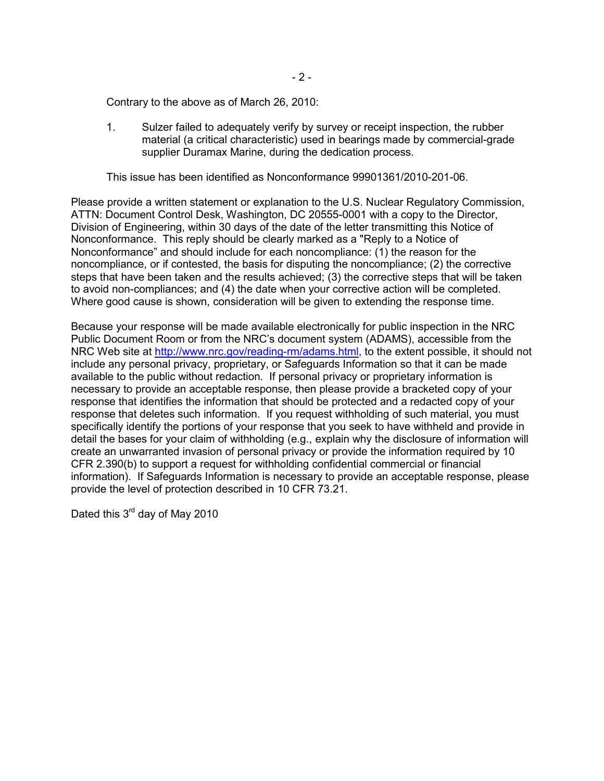Contrary to the above as of March 26, 2010:

1. Sulzer failed to adequately verify by survey or receipt inspection, the rubber material (a critical characteristic) used in bearings made by commercial-grade supplier Duramax Marine, during the dedication process.

This issue has been identified as Nonconformance 99901361/2010-201-06.

Please provide a written statement or explanation to the U.S. Nuclear Regulatory Commission, ATTN: Document Control Desk, Washington, DC 20555-0001 with a copy to the Director, Division of Engineering, within 30 days of the date of the letter transmitting this Notice of Nonconformance. This reply should be clearly marked as a "Reply to a Notice of Nonconformance" and should include for each noncompliance: (1) the reason for the noncompliance, or if contested, the basis for disputing the noncompliance; (2) the corrective steps that have been taken and the results achieved; (3) the corrective steps that will be taken to avoid non-compliances; and (4) the date when your corrective action will be completed. Where good cause is shown, consideration will be given to extending the response time.

Because your response will be made available electronically for public inspection in the NRC Public Document Room or from the NRC's document system (ADAMS), accessible from the NRC Web site at http://www.nrc.gov/reading-rm/adams.html, to the extent possible, it should not include any personal privacy, proprietary, or Safeguards Information so that it can be made available to the public without redaction. If personal privacy or proprietary information is necessary to provide an acceptable response, then please provide a bracketed copy of your response that identifies the information that should be protected and a redacted copy of your response that deletes such information. If you request withholding of such material, you must specifically identify the portions of your response that you seek to have withheld and provide in detail the bases for your claim of withholding (e.g., explain why the disclosure of information will create an unwarranted invasion of personal privacy or provide the information required by 10 CFR 2.390(b) to support a request for withholding confidential commercial or financial information). If Safeguards Information is necessary to provide an acceptable response, please provide the level of protection described in 10 CFR 73.21.

Dated this 3<sup>rd</sup> day of May 2010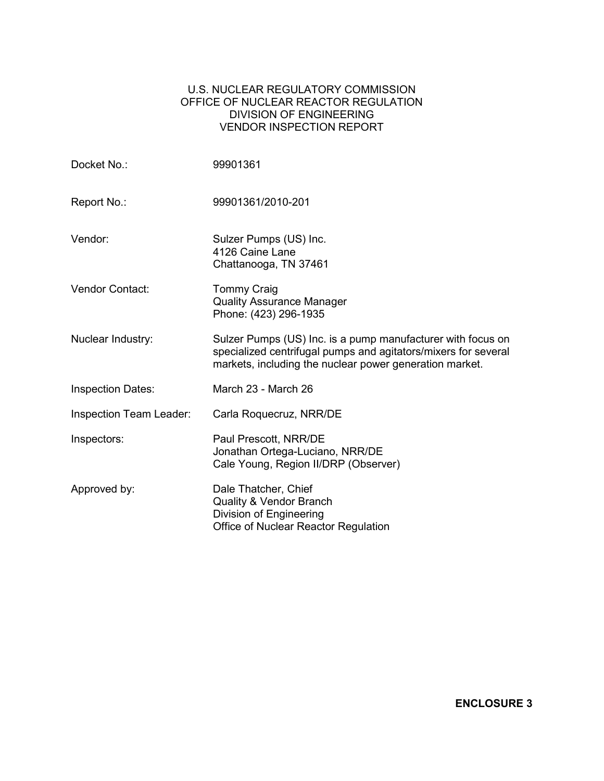# U.S. NUCLEAR REGULATORY COMMISSION OFFICE OF NUCLEAR REACTOR REGULATION DIVISION OF ENGINEERING VENDOR INSPECTION REPORT

| Docket No.:                    | 99901361                                                                                                                                                                                 |
|--------------------------------|------------------------------------------------------------------------------------------------------------------------------------------------------------------------------------------|
| Report No.:                    | 99901361/2010-201                                                                                                                                                                        |
| Vendor:                        | Sulzer Pumps (US) Inc.<br>4126 Caine Lane<br>Chattanooga, TN 37461                                                                                                                       |
| <b>Vendor Contact:</b>         | <b>Tommy Craig</b><br><b>Quality Assurance Manager</b><br>Phone: (423) 296-1935                                                                                                          |
| Nuclear Industry:              | Sulzer Pumps (US) Inc. is a pump manufacturer with focus on<br>specialized centrifugal pumps and agitators/mixers for several<br>markets, including the nuclear power generation market. |
| <b>Inspection Dates:</b>       | March 23 - March 26                                                                                                                                                                      |
| <b>Inspection Team Leader:</b> | Carla Roquecruz, NRR/DE                                                                                                                                                                  |
| Inspectors:                    | Paul Prescott, NRR/DE<br>Jonathan Ortega-Luciano, NRR/DE<br>Cale Young, Region II/DRP (Observer)                                                                                         |
| Approved by:                   | Dale Thatcher, Chief<br>Quality & Vendor Branch<br>Division of Engineering<br>Office of Nuclear Reactor Regulation                                                                       |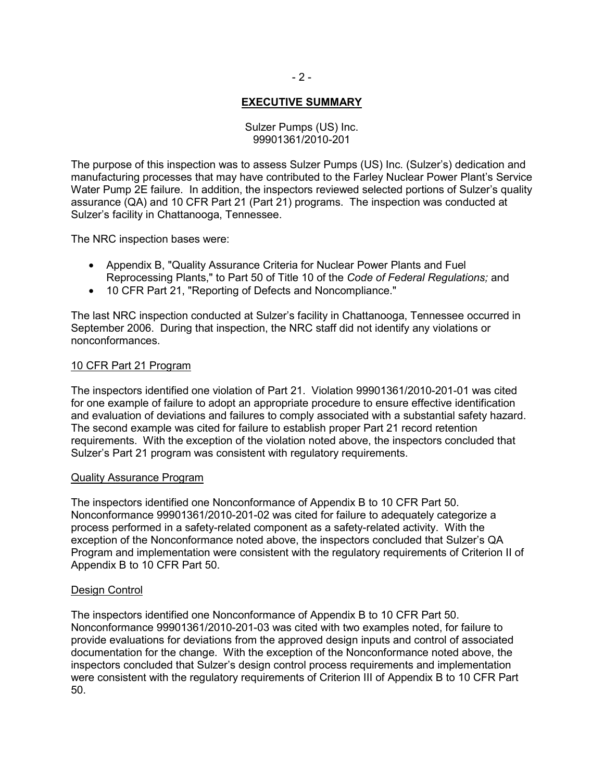# **EXECUTIVE SUMMARY**

### Sulzer Pumps (US) Inc. 99901361/2010-201

The purpose of this inspection was to assess Sulzer Pumps (US) Inc. (Sulzer's) dedication and manufacturing processes that may have contributed to the Farley Nuclear Power Plant's Service Water Pump 2E failure. In addition, the inspectors reviewed selected portions of Sulzer's quality assurance (QA) and 10 CFR Part 21 (Part 21) programs. The inspection was conducted at Sulzer's facility in Chattanooga, Tennessee.

The NRC inspection bases were:

- Appendix B, "Quality Assurance Criteria for Nuclear Power Plants and Fuel Reprocessing Plants," to Part 50 of Title 10 of the *Code of Federal Regulations;* and
- 10 CFR Part 21, "Reporting of Defects and Noncompliance."

The last NRC inspection conducted at Sulzer's facility in Chattanooga, Tennessee occurred in September 2006. During that inspection, the NRC staff did not identify any violations or nonconformances.

### 10 CFR Part 21 Program

The inspectors identified one violation of Part 21. Violation 99901361/2010-201-01 was cited for one example of failure to adopt an appropriate procedure to ensure effective identification and evaluation of deviations and failures to comply associated with a substantial safety hazard. The second example was cited for failure to establish proper Part 21 record retention requirements. With the exception of the violation noted above, the inspectors concluded that Sulzer's Part 21 program was consistent with regulatory requirements.

### Quality Assurance Program

The inspectors identified one Nonconformance of Appendix B to 10 CFR Part 50. Nonconformance 99901361/2010-201-02 was cited for failure to adequately categorize a process performed in a safety-related component as a safety-related activity. With the exception of the Nonconformance noted above, the inspectors concluded that Sulzer's QA Program and implementation were consistent with the regulatory requirements of Criterion II of Appendix B to 10 CFR Part 50.

### Design Control

The inspectors identified one Nonconformance of Appendix B to 10 CFR Part 50. Nonconformance 99901361/2010-201-03 was cited with two examples noted, for failure to provide evaluations for deviations from the approved design inputs and control of associated documentation for the change. With the exception of the Nonconformance noted above, the inspectors concluded that Sulzer's design control process requirements and implementation were consistent with the regulatory requirements of Criterion III of Appendix B to 10 CFR Part 50.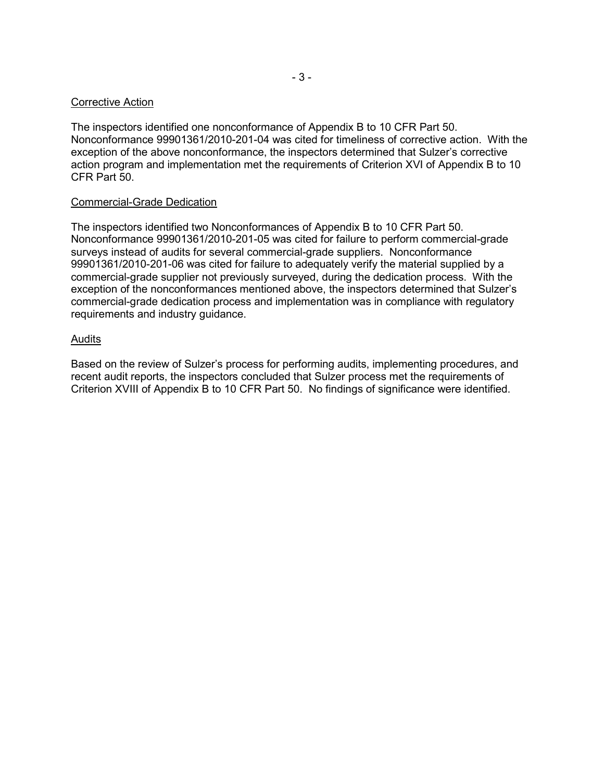### Corrective Action

The inspectors identified one nonconformance of Appendix B to 10 CFR Part 50. Nonconformance 99901361/2010-201-04 was cited for timeliness of corrective action. With the exception of the above nonconformance, the inspectors determined that Sulzer's corrective action program and implementation met the requirements of Criterion XVI of Appendix B to 10 CFR Part 50.

### Commercial-Grade Dedication

The inspectors identified two Nonconformances of Appendix B to 10 CFR Part 50. Nonconformance 99901361/2010-201-05 was cited for failure to perform commercial-grade surveys instead of audits for several commercial-grade suppliers. Nonconformance 99901361/2010-201-06 was cited for failure to adequately verify the material supplied by a commercial-grade supplier not previously surveyed, during the dedication process. With the exception of the nonconformances mentioned above, the inspectors determined that Sulzer's commercial-grade dedication process and implementation was in compliance with regulatory requirements and industry guidance.

### Audits

Based on the review of Sulzer's process for performing audits, implementing procedures, and recent audit reports, the inspectors concluded that Sulzer process met the requirements of Criterion XVIII of Appendix B to 10 CFR Part 50. No findings of significance were identified.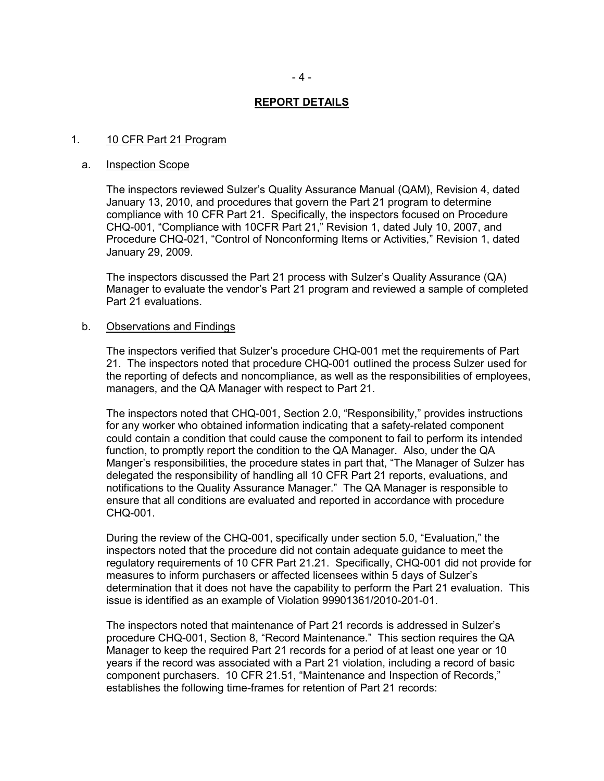#### **REPORT DETAILS**

#### 1. 10 CFR Part 21 Program

#### a. Inspection Scope

The inspectors reviewed Sulzer's Quality Assurance Manual (QAM), Revision 4, dated January 13, 2010, and procedures that govern the Part 21 program to determine compliance with 10 CFR Part 21. Specifically, the inspectors focused on Procedure CHQ-001, "Compliance with 10CFR Part 21," Revision 1, dated July 10, 2007, and Procedure CHQ-021, "Control of Nonconforming Items or Activities," Revision 1, dated January 29, 2009.

The inspectors discussed the Part 21 process with Sulzer's Quality Assurance (QA) Manager to evaluate the vendor's Part 21 program and reviewed a sample of completed Part 21 evaluations.

#### b. Observations and Findings

The inspectors verified that Sulzer's procedure CHQ-001 met the requirements of Part 21. The inspectors noted that procedure CHQ-001 outlined the process Sulzer used for the reporting of defects and noncompliance, as well as the responsibilities of employees, managers, and the QA Manager with respect to Part 21.

The inspectors noted that CHQ-001, Section 2.0, "Responsibility," provides instructions for any worker who obtained information indicating that a safety-related component could contain a condition that could cause the component to fail to perform its intended function, to promptly report the condition to the QA Manager. Also, under the QA Manger's responsibilities, the procedure states in part that, "The Manager of Sulzer has delegated the responsibility of handling all 10 CFR Part 21 reports, evaluations, and notifications to the Quality Assurance Manager." The QA Manager is responsible to ensure that all conditions are evaluated and reported in accordance with procedure CHQ-001.

During the review of the CHQ-001, specifically under section 5.0, "Evaluation," the inspectors noted that the procedure did not contain adequate guidance to meet the regulatory requirements of 10 CFR Part 21.21. Specifically, CHQ-001 did not provide for measures to inform purchasers or affected licensees within 5 days of Sulzer's determination that it does not have the capability to perform the Part 21 evaluation. This issue is identified as an example of Violation 99901361/2010-201-01.

The inspectors noted that maintenance of Part 21 records is addressed in Sulzer's procedure CHQ-001, Section 8, "Record Maintenance." This section requires the QA Manager to keep the required Part 21 records for a period of at least one year or 10 years if the record was associated with a Part 21 violation, including a record of basic component purchasers. 10 CFR 21.51, "Maintenance and Inspection of Records," establishes the following time-frames for retention of Part 21 records: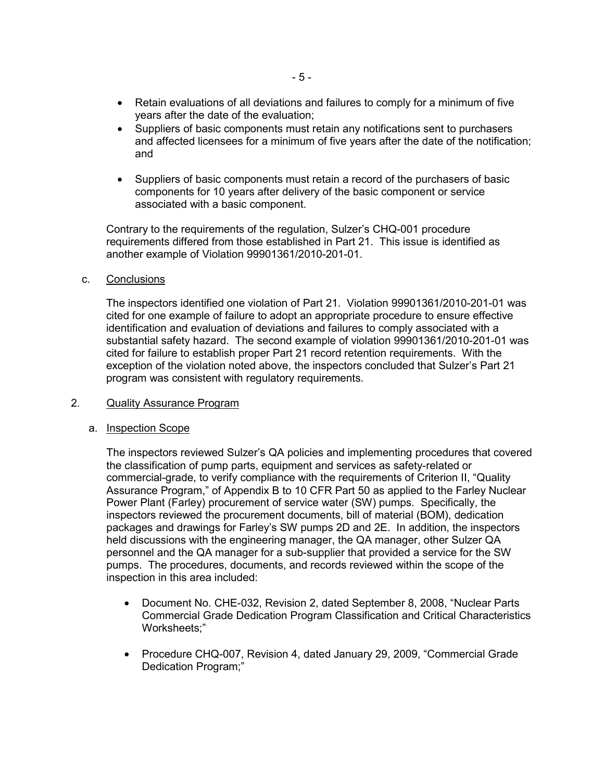- Retain evaluations of all deviations and failures to comply for a minimum of five years after the date of the evaluation;
- Suppliers of basic components must retain any notifications sent to purchasers and affected licensees for a minimum of five years after the date of the notification; and
- Suppliers of basic components must retain a record of the purchasers of basic components for 10 years after delivery of the basic component or service associated with a basic component.

Contrary to the requirements of the regulation, Sulzer's CHQ-001 procedure requirements differed from those established in Part 21. This issue is identified as another example of Violation 99901361/2010-201-01.

c. Conclusions

The inspectors identified one violation of Part 21. Violation 99901361/2010-201-01 was cited for one example of failure to adopt an appropriate procedure to ensure effective identification and evaluation of deviations and failures to comply associated with a substantial safety hazard. The second example of violation 99901361/2010-201-01 was cited for failure to establish proper Part 21 record retention requirements. With the exception of the violation noted above, the inspectors concluded that Sulzer's Part 21 program was consistent with regulatory requirements.

# 2. Quality Assurance Program

### a. Inspection Scope

The inspectors reviewed Sulzer's QA policies and implementing procedures that covered the classification of pump parts, equipment and services as safety-related or commercial-grade, to verify compliance with the requirements of Criterion II, "Quality Assurance Program," of Appendix B to 10 CFR Part 50 as applied to the Farley Nuclear Power Plant (Farley) procurement of service water (SW) pumps. Specifically, the inspectors reviewed the procurement documents, bill of material (BOM), dedication packages and drawings for Farley's SW pumps 2D and 2E. In addition, the inspectors held discussions with the engineering manager, the QA manager, other Sulzer QA personnel and the QA manager for a sub-supplier that provided a service for the SW pumps. The procedures, documents, and records reviewed within the scope of the inspection in this area included:

- Document No. CHE-032, Revision 2, dated September 8, 2008, "Nuclear Parts Commercial Grade Dedication Program Classification and Critical Characteristics Worksheets;"
- Procedure CHQ-007, Revision 4, dated January 29, 2009, "Commercial Grade Dedication Program;"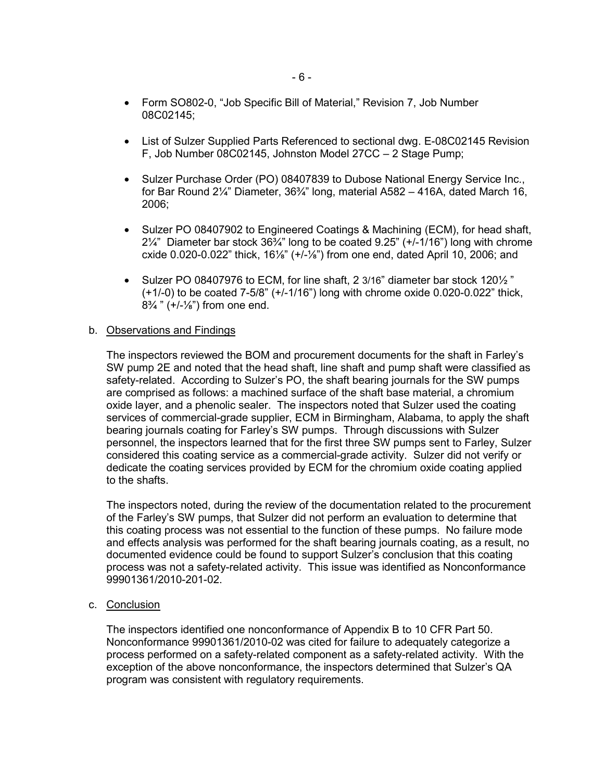- Form SO802-0, "Job Specific Bill of Material," Revision 7, Job Number 08C02145;
- List of Sulzer Supplied Parts Referenced to sectional dwg. E-08C02145 Revision F, Job Number 08C02145, Johnston Model 27CC – 2 Stage Pump;
- Sulzer Purchase Order (PO) 08407839 to Dubose National Energy Service Inc., for Bar Round 2¼" Diameter, 36¾" long, material A582 – 416A, dated March 16, 2006;
- Sulzer PO 08407902 to Engineered Coatings & Machining (ECM), for head shaft,  $2\frac{1}{4}$ " Diameter bar stock  $36\frac{3}{4}$ " long to be coated 9.25" (+/-1/16") long with chrome cxide 0.020-0.022" thick, 16⅛" (+/-⅛") from one end, dated April 10, 2006; and
- Sulzer PO 08407976 to ECM, for line shaft, 2 3/16" diameter bar stock 120½ " (+1/-0) to be coated 7-5/8" (+/-1/16") long with chrome oxide 0.020-0.022" thick,  $8\frac{3}{4}$  " (+/- $\frac{1}{8}$ ") from one end.

### b. Observations and Findings

The inspectors reviewed the BOM and procurement documents for the shaft in Farley's SW pump 2E and noted that the head shaft, line shaft and pump shaft were classified as safety-related. According to Sulzer's PO, the shaft bearing journals for the SW pumps are comprised as follows: a machined surface of the shaft base material, a chromium oxide layer, and a phenolic sealer. The inspectors noted that Sulzer used the coating services of commercial-grade supplier, ECM in Birmingham, Alabama, to apply the shaft bearing journals coating for Farley's SW pumps. Through discussions with Sulzer personnel, the inspectors learned that for the first three SW pumps sent to Farley, Sulzer considered this coating service as a commercial-grade activity. Sulzer did not verify or dedicate the coating services provided by ECM for the chromium oxide coating applied to the shafts.

The inspectors noted, during the review of the documentation related to the procurement of the Farley's SW pumps, that Sulzer did not perform an evaluation to determine that this coating process was not essential to the function of these pumps. No failure mode and effects analysis was performed for the shaft bearing journals coating, as a result, no documented evidence could be found to support Sulzer's conclusion that this coating process was not a safety-related activity. This issue was identified as Nonconformance 99901361/2010-201-02.

c. Conclusion

The inspectors identified one nonconformance of Appendix B to 10 CFR Part 50. Nonconformance 99901361/2010-02 was cited for failure to adequately categorize a process performed on a safety-related component as a safety-related activity. With the exception of the above nonconformance, the inspectors determined that Sulzer's QA program was consistent with regulatory requirements.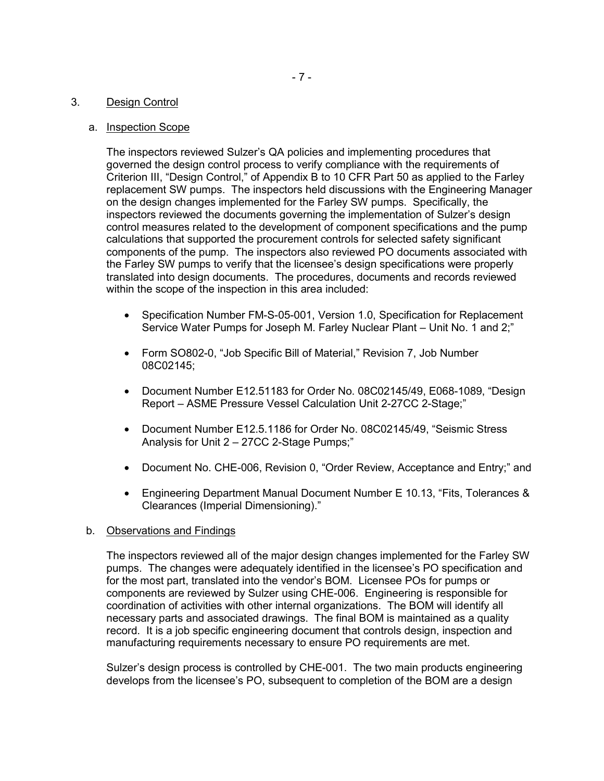### 3. Design Control

### a. Inspection Scope

The inspectors reviewed Sulzer's QA policies and implementing procedures that governed the design control process to verify compliance with the requirements of Criterion III, "Design Control," of Appendix B to 10 CFR Part 50 as applied to the Farley replacement SW pumps. The inspectors held discussions with the Engineering Manager on the design changes implemented for the Farley SW pumps. Specifically, the inspectors reviewed the documents governing the implementation of Sulzer's design control measures related to the development of component specifications and the pump calculations that supported the procurement controls for selected safety significant components of the pump. The inspectors also reviewed PO documents associated with the Farley SW pumps to verify that the licensee's design specifications were properly translated into design documents. The procedures, documents and records reviewed within the scope of the inspection in this area included:

- Specification Number FM-S-05-001, Version 1.0, Specification for Replacement Service Water Pumps for Joseph M. Farley Nuclear Plant – Unit No. 1 and 2;"
- Form SO802-0, "Job Specific Bill of Material," Revision 7, Job Number 08C02145;
- Document Number E12.51183 for Order No. 08C02145/49, E068-1089, "Design Report – ASME Pressure Vessel Calculation Unit 2-27CC 2-Stage;"
- Document Number E12.5.1186 for Order No. 08C02145/49, "Seismic Stress Analysis for Unit 2 – 27CC 2-Stage Pumps;"
- Document No. CHE-006, Revision 0, "Order Review, Acceptance and Entry;" and
- Engineering Department Manual Document Number E 10.13, "Fits, Tolerances & Clearances (Imperial Dimensioning)."

### b. Observations and Findings

The inspectors reviewed all of the major design changes implemented for the Farley SW pumps. The changes were adequately identified in the licensee's PO specification and for the most part, translated into the vendor's BOM. Licensee POs for pumps or components are reviewed by Sulzer using CHE-006. Engineering is responsible for coordination of activities with other internal organizations. The BOM will identify all necessary parts and associated drawings. The final BOM is maintained as a quality record. It is a job specific engineering document that controls design, inspection and manufacturing requirements necessary to ensure PO requirements are met.

Sulzer's design process is controlled by CHE-001. The two main products engineering develops from the licensee's PO, subsequent to completion of the BOM are a design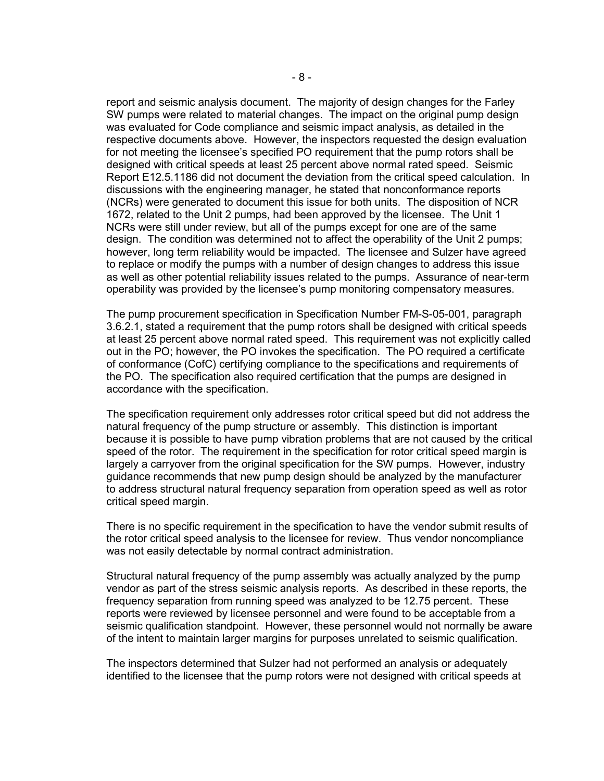report and seismic analysis document. The majority of design changes for the Farley SW pumps were related to material changes. The impact on the original pump design was evaluated for Code compliance and seismic impact analysis, as detailed in the respective documents above. However, the inspectors requested the design evaluation for not meeting the licensee's specified PO requirement that the pump rotors shall be designed with critical speeds at least 25 percent above normal rated speed. Seismic Report E12.5.1186 did not document the deviation from the critical speed calculation. In discussions with the engineering manager, he stated that nonconformance reports (NCRs) were generated to document this issue for both units. The disposition of NCR 1672, related to the Unit 2 pumps, had been approved by the licensee. The Unit 1 NCRs were still under review, but all of the pumps except for one are of the same design. The condition was determined not to affect the operability of the Unit 2 pumps; however, long term reliability would be impacted. The licensee and Sulzer have agreed to replace or modify the pumps with a number of design changes to address this issue as well as other potential reliability issues related to the pumps. Assurance of near-term operability was provided by the licensee's pump monitoring compensatory measures.

The pump procurement specification in Specification Number FM-S-05-001, paragraph 3.6.2.1, stated a requirement that the pump rotors shall be designed with critical speeds at least 25 percent above normal rated speed. This requirement was not explicitly called out in the PO; however, the PO invokes the specification. The PO required a certificate of conformance (CofC) certifying compliance to the specifications and requirements of the PO. The specification also required certification that the pumps are designed in accordance with the specification.

The specification requirement only addresses rotor critical speed but did not address the natural frequency of the pump structure or assembly. This distinction is important because it is possible to have pump vibration problems that are not caused by the critical speed of the rotor. The requirement in the specification for rotor critical speed margin is largely a carryover from the original specification for the SW pumps. However, industry guidance recommends that new pump design should be analyzed by the manufacturer to address structural natural frequency separation from operation speed as well as rotor critical speed margin.

There is no specific requirement in the specification to have the vendor submit results of the rotor critical speed analysis to the licensee for review. Thus vendor noncompliance was not easily detectable by normal contract administration.

Structural natural frequency of the pump assembly was actually analyzed by the pump vendor as part of the stress seismic analysis reports. As described in these reports, the frequency separation from running speed was analyzed to be 12.75 percent. These reports were reviewed by licensee personnel and were found to be acceptable from a seismic qualification standpoint. However, these personnel would not normally be aware of the intent to maintain larger margins for purposes unrelated to seismic qualification.

The inspectors determined that Sulzer had not performed an analysis or adequately identified to the licensee that the pump rotors were not designed with critical speeds at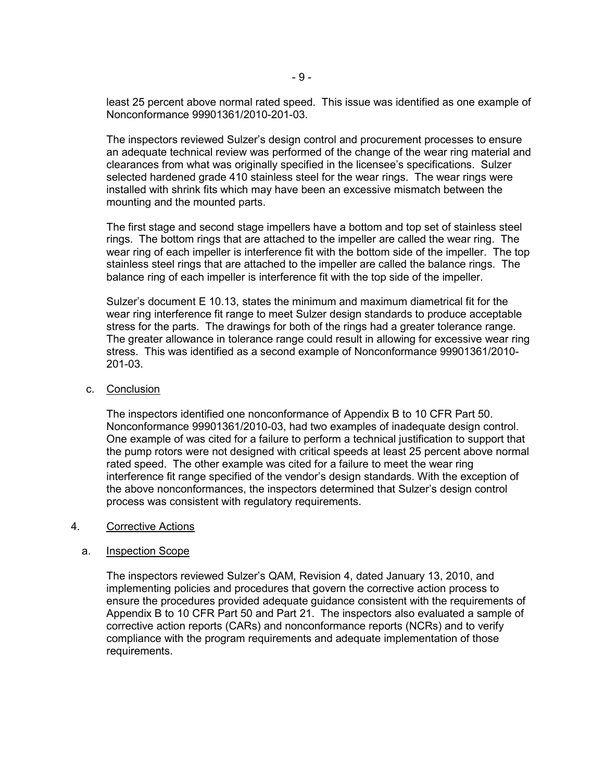least 25 percent above normal rated speed. This issue was identified as one example of Nonconformance 99901361/2010-201-03.

The inspectors reviewed Sulzer's design control and procurement processes to ensure an adequate technical review was performed of the change of the wear ring material and clearances from what was originally specified in the licensee's specifications. Sulzer selected hardened grade 410 stainless steel for the wear rings. The wear rings were installed with shrink fits which may have been an excessive mismatch between the mounting and the mounted parts.

The first stage and second stage impellers have a bottom and top set of stainless steel rings. The bottom rings that are attached to the impeller are called the wear ring. The wear ring of each impeller is interference fit with the bottom side of the impeller. The top stainless steel rings that are attached to the impeller are called the balance rings. The balance ring of each impeller is interference fit with the top side of the impeller.

Sulzer's document E 10.13, states the minimum and maximum diametrical fit for the wear ring interference fit range to meet Sulzer design standards to produce acceptable stress for the parts. The drawings for both of the rings had a greater tolerance range. The greater allowance in tolerance range could result in allowing for excessive wear ring stress. This was identified as a second example of Nonconformance 99901361/2010- 201-03.

#### c. Conclusion

The inspectors identified one nonconformance of Appendix B to 10 CFR Part 50. Nonconformance 99901361/2010-03, had two examples of inadequate design control. One example of was cited for a failure to perform a technical justification to support that the pump rotors were not designed with critical speeds at least 25 percent above normal rated speed. The other example was cited for a failure to meet the wear ring interference fit range specified of the vendor's design standards. With the exception of the above nonconformances, the inspectors determined that Sulzer's design control process was consistent with regulatory requirements.

#### 4. Corrective Actions

### a. Inspection Scope

The inspectors reviewed Sulzer's QAM, Revision 4, dated January 13, 2010, and implementing policies and procedures that govern the corrective action process to ensure the procedures provided adequate guidance consistent with the requirements of Appendix B to 10 CFR Part 50 and Part 21. The inspectors also evaluated a sample of corrective action reports (CARs) and nonconformance reports (NCRs) and to verify compliance with the program requirements and adequate implementation of those requirements.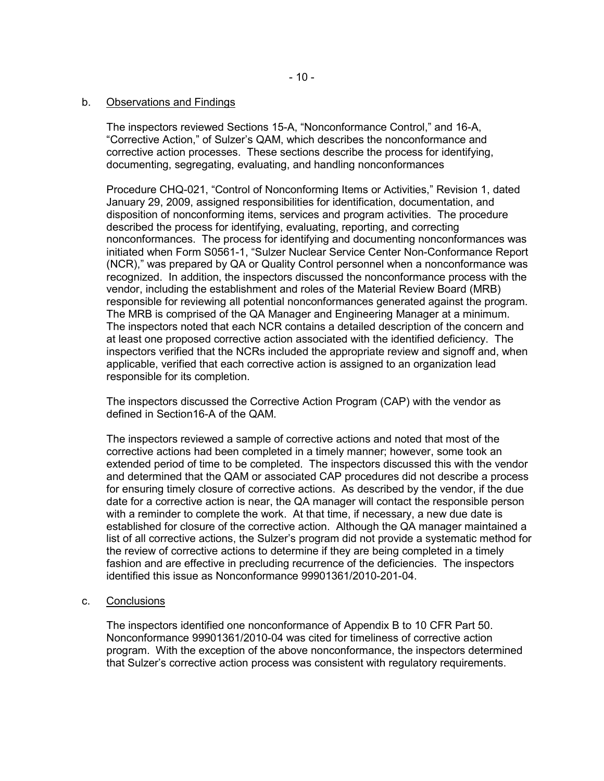### b. Observations and Findings

The inspectors reviewed Sections 15-A, "Nonconformance Control," and 16-A, "Corrective Action," of Sulzer's QAM, which describes the nonconformance and corrective action processes. These sections describe the process for identifying, documenting, segregating, evaluating, and handling nonconformances

Procedure CHQ-021, "Control of Nonconforming Items or Activities," Revision 1, dated January 29, 2009, assigned responsibilities for identification, documentation, and disposition of nonconforming items, services and program activities. The procedure described the process for identifying, evaluating, reporting, and correcting nonconformances. The process for identifying and documenting nonconformances was initiated when Form S0561-1, "Sulzer Nuclear Service Center Non-Conformance Report (NCR)," was prepared by QA or Quality Control personnel when a nonconformance was recognized. In addition, the inspectors discussed the nonconformance process with the vendor, including the establishment and roles of the Material Review Board (MRB) responsible for reviewing all potential nonconformances generated against the program. The MRB is comprised of the QA Manager and Engineering Manager at a minimum. The inspectors noted that each NCR contains a detailed description of the concern and at least one proposed corrective action associated with the identified deficiency. The inspectors verified that the NCRs included the appropriate review and signoff and, when applicable, verified that each corrective action is assigned to an organization lead responsible for its completion.

The inspectors discussed the Corrective Action Program (CAP) with the vendor as defined in Section16-A of the QAM.

The inspectors reviewed a sample of corrective actions and noted that most of the corrective actions had been completed in a timely manner; however, some took an extended period of time to be completed. The inspectors discussed this with the vendor and determined that the QAM or associated CAP procedures did not describe a process for ensuring timely closure of corrective actions. As described by the vendor, if the due date for a corrective action is near, the QA manager will contact the responsible person with a reminder to complete the work. At that time, if necessary, a new due date is established for closure of the corrective action. Although the QA manager maintained a list of all corrective actions, the Sulzer's program did not provide a systematic method for the review of corrective actions to determine if they are being completed in a timely fashion and are effective in precluding recurrence of the deficiencies. The inspectors identified this issue as Nonconformance 99901361/2010-201-04.

### c. Conclusions

The inspectors identified one nonconformance of Appendix B to 10 CFR Part 50. Nonconformance 99901361/2010-04 was cited for timeliness of corrective action program. With the exception of the above nonconformance, the inspectors determined that Sulzer's corrective action process was consistent with regulatory requirements.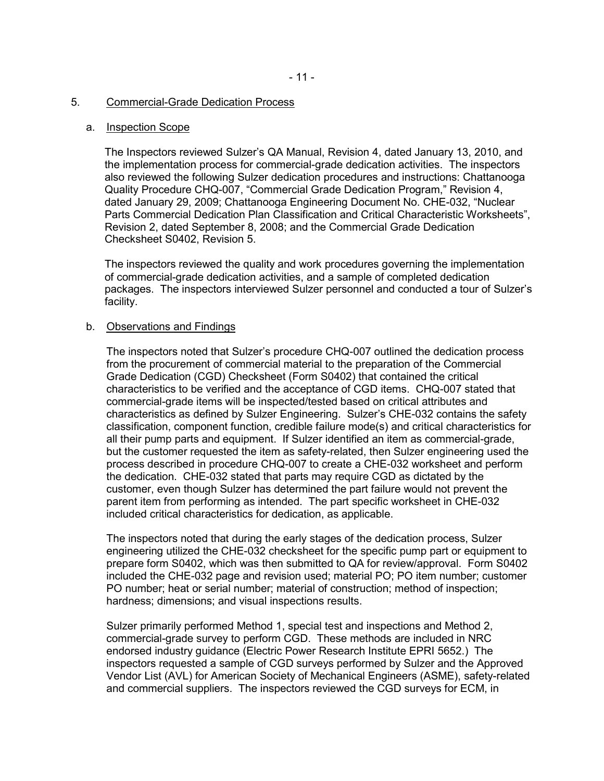#### 5. Commercial-Grade Dedication Process

#### a. Inspection Scope

The Inspectors reviewed Sulzer's QA Manual, Revision 4, dated January 13, 2010, and the implementation process for commercial-grade dedication activities. The inspectors also reviewed the following Sulzer dedication procedures and instructions: Chattanooga Quality Procedure CHQ-007, "Commercial Grade Dedication Program," Revision 4, dated January 29, 2009; Chattanooga Engineering Document No. CHE-032, "Nuclear Parts Commercial Dedication Plan Classification and Critical Characteristic Worksheets", Revision 2, dated September 8, 2008; and the Commercial Grade Dedication Checksheet S0402, Revision 5.

The inspectors reviewed the quality and work procedures governing the implementation of commercial-grade dedication activities, and a sample of completed dedication packages. The inspectors interviewed Sulzer personnel and conducted a tour of Sulzer's facility.

#### b. Observations and Findings

The inspectors noted that Sulzer's procedure CHQ-007 outlined the dedication process from the procurement of commercial material to the preparation of the Commercial Grade Dedication (CGD) Checksheet (Form S0402) that contained the critical characteristics to be verified and the acceptance of CGD items. CHQ-007 stated that commercial-grade items will be inspected/tested based on critical attributes and characteristics as defined by Sulzer Engineering. Sulzer's CHE-032 contains the safety classification, component function, credible failure mode(s) and critical characteristics for all their pump parts and equipment. If Sulzer identified an item as commercial-grade, but the customer requested the item as safety-related, then Sulzer engineering used the process described in procedure CHQ-007 to create a CHE-032 worksheet and perform the dedication. CHE-032 stated that parts may require CGD as dictated by the customer, even though Sulzer has determined the part failure would not prevent the parent item from performing as intended. The part specific worksheet in CHE-032 included critical characteristics for dedication, as applicable.

The inspectors noted that during the early stages of the dedication process, Sulzer engineering utilized the CHE-032 checksheet for the specific pump part or equipment to prepare form S0402, which was then submitted to QA for review/approval. Form S0402 included the CHE-032 page and revision used; material PO; PO item number; customer PO number; heat or serial number; material of construction; method of inspection; hardness; dimensions; and visual inspections results.

Sulzer primarily performed Method 1, special test and inspections and Method 2, commercial-grade survey to perform CGD. These methods are included in NRC endorsed industry guidance (Electric Power Research Institute EPRI 5652.) The inspectors requested a sample of CGD surveys performed by Sulzer and the Approved Vendor List (AVL) for American Society of Mechanical Engineers (ASME), safety-related and commercial suppliers. The inspectors reviewed the CGD surveys for ECM, in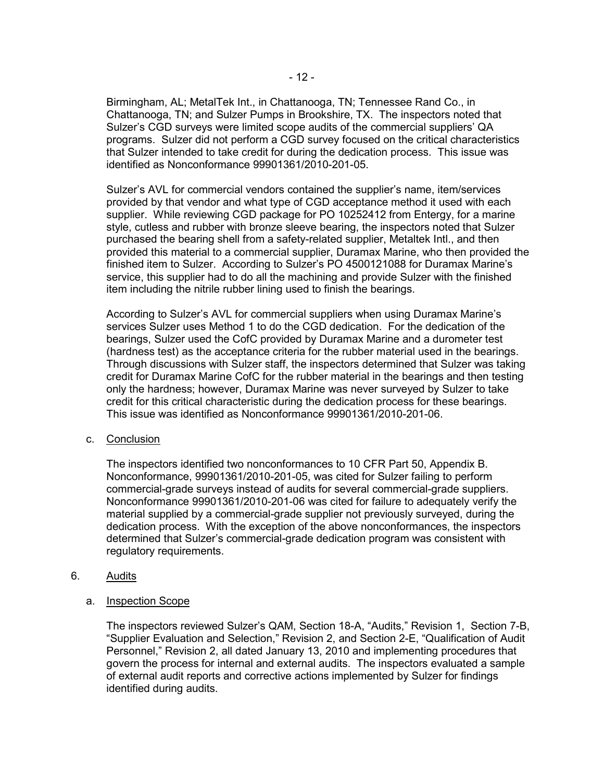Birmingham, AL; MetalTek Int., in Chattanooga, TN; Tennessee Rand Co., in Chattanooga, TN; and Sulzer Pumps in Brookshire, TX. The inspectors noted that Sulzer's CGD surveys were limited scope audits of the commercial suppliers' QA programs. Sulzer did not perform a CGD survey focused on the critical characteristics that Sulzer intended to take credit for during the dedication process. This issue was identified as Nonconformance 99901361/2010-201-05.

Sulzer's AVL for commercial vendors contained the supplier's name, item/services provided by that vendor and what type of CGD acceptance method it used with each supplier. While reviewing CGD package for PO 10252412 from Entergy, for a marine style, cutless and rubber with bronze sleeve bearing, the inspectors noted that Sulzer purchased the bearing shell from a safety-related supplier, Metaltek Intl., and then provided this material to a commercial supplier, Duramax Marine, who then provided the finished item to Sulzer. According to Sulzer's PO 4500121088 for Duramax Marine's service, this supplier had to do all the machining and provide Sulzer with the finished item including the nitrile rubber lining used to finish the bearings.

According to Sulzer's AVL for commercial suppliers when using Duramax Marine's services Sulzer uses Method 1 to do the CGD dedication. For the dedication of the bearings, Sulzer used the CofC provided by Duramax Marine and a durometer test (hardness test) as the acceptance criteria for the rubber material used in the bearings. Through discussions with Sulzer staff, the inspectors determined that Sulzer was taking credit for Duramax Marine CofC for the rubber material in the bearings and then testing only the hardness; however, Duramax Marine was never surveyed by Sulzer to take credit for this critical characteristic during the dedication process for these bearings. This issue was identified as Nonconformance 99901361/2010-201-06.

### c. Conclusion

The inspectors identified two nonconformances to 10 CFR Part 50, Appendix B. Nonconformance, 99901361/2010-201-05, was cited for Sulzer failing to perform commercial-grade surveys instead of audits for several commercial-grade suppliers. Nonconformance 99901361/2010-201-06 was cited for failure to adequately verify the material supplied by a commercial-grade supplier not previously surveyed, during the dedication process. With the exception of the above nonconformances, the inspectors determined that Sulzer's commercial-grade dedication program was consistent with regulatory requirements.

### 6. Audits

### a. Inspection Scope

The inspectors reviewed Sulzer's QAM, Section 18-A, "Audits," Revision 1, Section 7-B, "Supplier Evaluation and Selection," Revision 2, and Section 2-E, "Qualification of Audit Personnel," Revision 2, all dated January 13, 2010 and implementing procedures that govern the process for internal and external audits. The inspectors evaluated a sample of external audit reports and corrective actions implemented by Sulzer for findings identified during audits.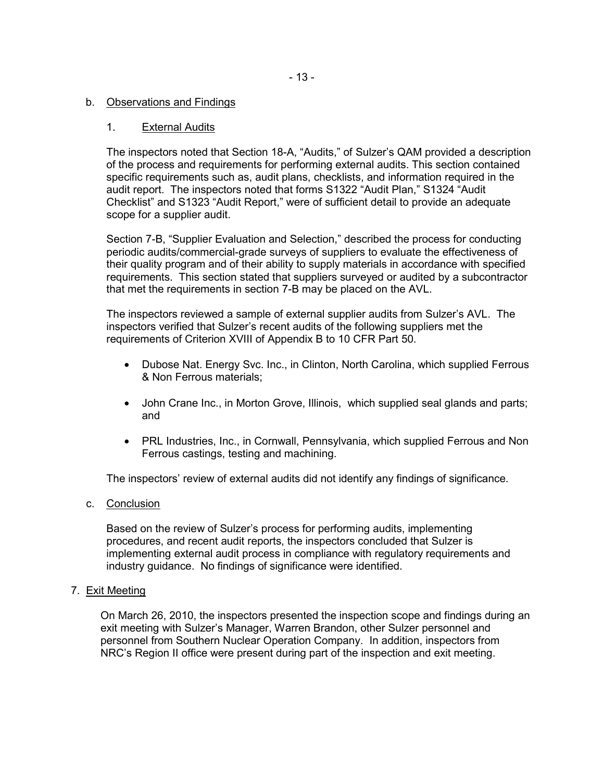# b. Observations and Findings

### 1. External Audits

The inspectors noted that Section 18-A, "Audits," of Sulzer's QAM provided a description of the process and requirements for performing external audits. This section contained specific requirements such as, audit plans, checklists, and information required in the audit report. The inspectors noted that forms S1322 "Audit Plan," S1324 "Audit Checklist" and S1323 "Audit Report," were of sufficient detail to provide an adequate scope for a supplier audit.

Section 7-B, "Supplier Evaluation and Selection," described the process for conducting periodic audits/commercial-grade surveys of suppliers to evaluate the effectiveness of their quality program and of their ability to supply materials in accordance with specified requirements. This section stated that suppliers surveyed or audited by a subcontractor that met the requirements in section 7-B may be placed on the AVL.

The inspectors reviewed a sample of external supplier audits from Sulzer's AVL. The inspectors verified that Sulzer's recent audits of the following suppliers met the requirements of Criterion XVIII of Appendix B to 10 CFR Part 50.

- Dubose Nat. Energy Svc. Inc., in Clinton, North Carolina, which supplied Ferrous & Non Ferrous materials;
- John Crane Inc., in Morton Grove, Illinois, which supplied seal glands and parts; and
- PRL Industries, Inc., in Cornwall, Pennsylvania, which supplied Ferrous and Non Ferrous castings, testing and machining.

The inspectors' review of external audits did not identify any findings of significance.

c. Conclusion

Based on the review of Sulzer's process for performing audits, implementing procedures, and recent audit reports, the inspectors concluded that Sulzer is implementing external audit process in compliance with regulatory requirements and industry guidance. No findings of significance were identified.

### 7. Exit Meeting

On March 26, 2010, the inspectors presented the inspection scope and findings during an exit meeting with Sulzer's Manager, Warren Brandon, other Sulzer personnel and personnel from Southern Nuclear Operation Company. In addition, inspectors from NRC's Region II office were present during part of the inspection and exit meeting.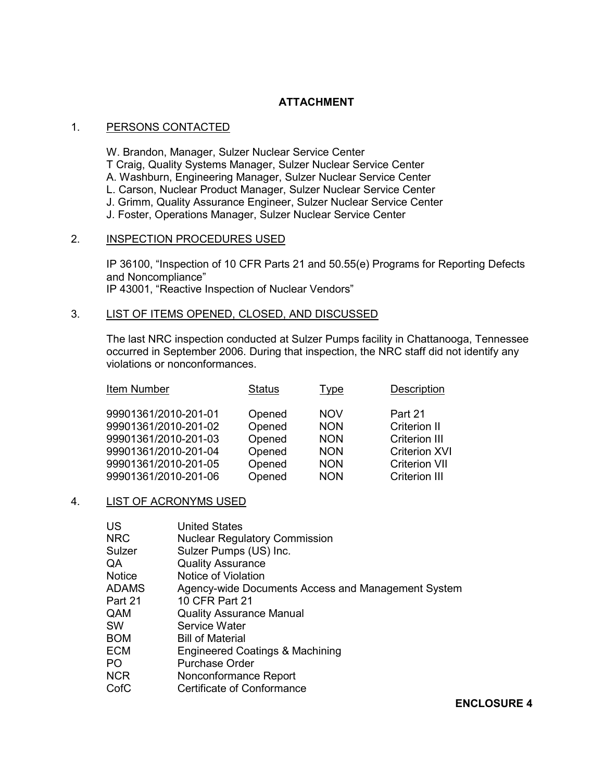# **ATTACHMENT**

# 1. PERSONS CONTACTED

 W. Brandon, Manager, Sulzer Nuclear Service Center T Craig, Quality Systems Manager, Sulzer Nuclear Service Center A. Washburn, Engineering Manager, Sulzer Nuclear Service Center L. Carson, Nuclear Product Manager, Sulzer Nuclear Service Center J. Grimm, Quality Assurance Engineer, Sulzer Nuclear Service Center J. Foster, Operations Manager, Sulzer Nuclear Service Center

# 2. INSPECTION PROCEDURES USED

IP 36100, "Inspection of 10 CFR Parts 21 and 50.55(e) Programs for Reporting Defects and Noncompliance" IP 43001, "Reactive Inspection of Nuclear Vendors"

### 3. LIST OF ITEMS OPENED, CLOSED, AND DISCUSSED

The last NRC inspection conducted at Sulzer Pumps facility in Chattanooga, Tennessee occurred in September 2006. During that inspection, the NRC staff did not identify any violations or nonconformances.

| Item Number                                  | <b>Status</b>    | Type                     | Description                                  |
|----------------------------------------------|------------------|--------------------------|----------------------------------------------|
| 99901361/2010-201-01                         | Opened           | <b>NOV</b>               | Part 21                                      |
| 99901361/2010-201-02<br>99901361/2010-201-03 | Opened<br>Opened | <b>NON</b><br><b>NON</b> | Criterion II<br><b>Criterion III</b>         |
| 99901361/2010-201-04<br>99901361/2010-201-05 | Opened           | <b>NON</b><br><b>NON</b> | <b>Criterion XVI</b>                         |
| 99901361/2010-201-06                         | Opened<br>Opened | <b>NON</b>               | <b>Criterion VII</b><br><b>Criterion III</b> |

### 4. LIST OF ACRONYMS USED

| <b>United States</b>                                                                                                      |
|---------------------------------------------------------------------------------------------------------------------------|
| <b>Nuclear Regulatory Commission</b>                                                                                      |
| Sulzer Pumps (US) Inc.                                                                                                    |
| <b>Quality Assurance</b>                                                                                                  |
| Notice of Violation                                                                                                       |
| Agency-wide Documents Access and Management System                                                                        |
| 10 CFR Part 21                                                                                                            |
| <b>Quality Assurance Manual</b>                                                                                           |
| Service Water                                                                                                             |
| <b>Bill of Material</b>                                                                                                   |
| Engineered Coatings & Machining                                                                                           |
| <b>Purchase Order</b>                                                                                                     |
| Nonconformance Report                                                                                                     |
| Certificate of Conformance                                                                                                |
| <b>NRC</b><br>Sulzer<br><b>Notice</b><br><b>ADAMS</b><br>Part 21<br>QAM<br><b>BOM</b><br><b>ECM</b><br><b>NCR</b><br>CofC |